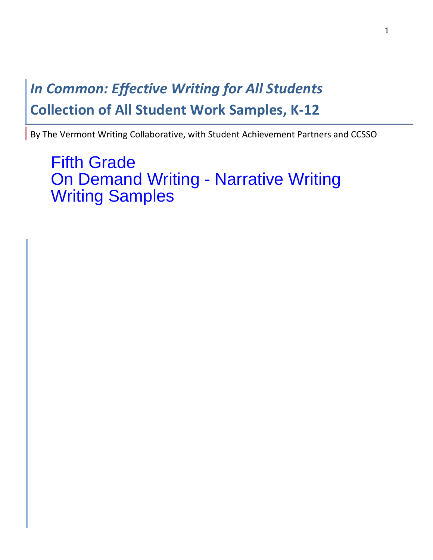# **In Common: Effective Writing for All Students Collection of All Student Work Samples, K-12**

By The Vermont Writing Collaborative, with Student Achievement Partners and CCSSO

Fifth Grade On Demand Writing - Narrative Writing Writing Samples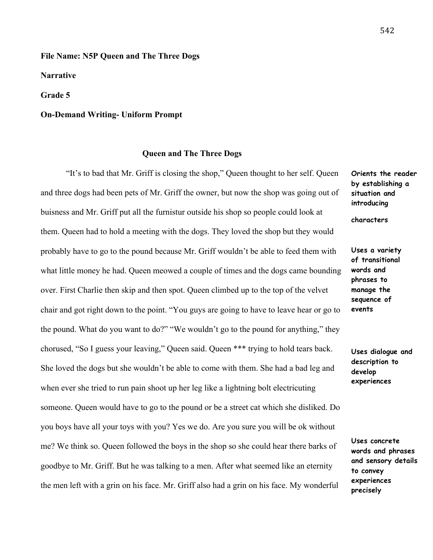## **File Name: N5P Queen and The Three Dogs**

**Narrative**

**Grade 5**

### **On-Demand Writing- Uniform Prompt**

#### **Queen and The Three Dogs**

"It's to bad that Mr. Griff is closing the shop," Queen thought to her self. Queen and three dogs had been pets of Mr. Griff the owner, but now the shop was going out of buisness and Mr. Griff put all the furnistur outside his shop so people could look at them. Queen had to hold a meeting with the dogs. They loved the shop but they would probably have to go to the pound because Mr. Griff wouldn't be able to feed them with what little money he had. Queen meowed a couple of times and the dogs came bounding over. First Charlie then skip and then spot. Queen climbed up to the top of the velvet chair and got right down to the point. "You guys are going to have to leave hear or go to the pound. What do you want to do?" "We wouldn't go to the pound for anything," they chorused, "So I guess your leaving," Queen said. Queen \*\*\* trying to hold tears back. She loved the dogs but she wouldn't be able to come with them. She had a bad leg and when ever she tried to run pain shoot up her leg like a lightning bolt electricuting someone. Queen would have to go to the pound or be a street cat which she disliked. Do you boys have all your toys with you? Yes we do. Are you sure you will be ok without me? We think so. Queen followed the boys in the shop so she could hear there barks of goodbye to Mr. Griff. But he was talking to a men. After what seemed like an eternity the men left with a grin on his face. Mr. Griff also had a grin on his face. My wonderful

**Orients the reader by establishing a situation and introducing** 

**characters** 

**Uses a variety of transitional words and phrases to manage the sequence of events**

**Uses dialogue and description to develop experiences** 

**Uses concrete words and phrases and sensory details to convey experiences precisely**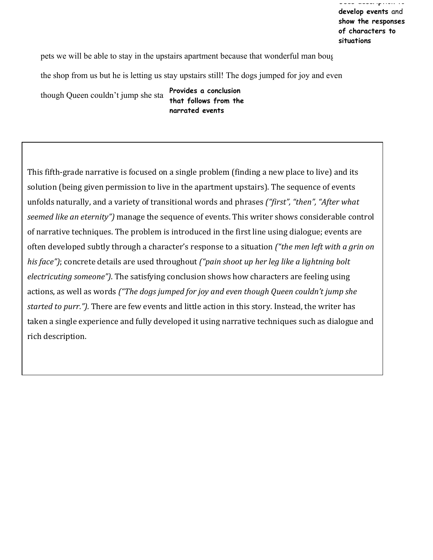pets we will be able to stay in the upstairs apartment because that wonderful man bought

the shop from us but he is letting us stay upstairs still! The dogs jumped for joy and even

though Queen couldn't jump she started **Provides a conclusion** 

**that follows from the narrated events**

This fifth-grade narrative is focused on a single problem (finding a new place to live) and its solution (being given permission to live in the apartment upstairs). The sequence of events unfolds naturally, and a variety of transitional words and phrases *("first", "then", "After what seemed like an eternity"*) manage the sequence of events. This writer shows considerable control of narrative techniques. The problem is introduced in the first line using dialogue; events are often developed subtly through a character's response to a situation *("the men left with a grin on his* face"); concrete details are used throughout *("pain shoot up her leg like a lightning bolt electricuting someone"*). The satisfying conclusion shows how characters are feeling using actions, as well as words *("The dogs jumped for joy and even though Queen couldn't jump she* started to purr."). There are few events and little action in this story. Instead, the writer has taken a single experience and fully developed it using narrative techniques such as dialogue and rich description.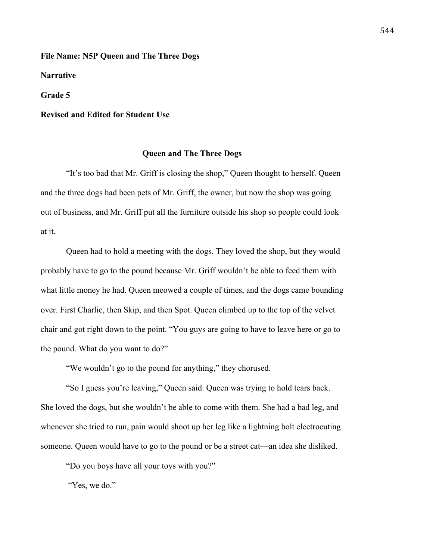**File Name: N5P Queen and The Three Dogs** 

**Narrative**

**Grade 5**

### **Revised and Edited for Student Use**

#### **Queen and The Three Dogs**

"It's too bad that Mr. Griff is closing the shop," Queen thought to herself. Queen and the three dogs had been pets of Mr. Griff, the owner, but now the shop was going out of business, and Mr. Griff put all the furniture outside his shop so people could look at it.

Queen had to hold a meeting with the dogs. They loved the shop, but they would probably have to go to the pound because Mr. Griff wouldn't be able to feed them with what little money he had. Queen meowed a couple of times, and the dogs came bounding over. First Charlie, then Skip, and then Spot. Queen climbed up to the top of the velvet chair and got right down to the point. "You guys are going to have to leave here or go to the pound. What do you want to do?"

"We wouldn't go to the pound for anything," they chorused.

"So I guess you're leaving," Queen said. Queen was trying to hold tears back. She loved the dogs, but she wouldn't be able to come with them. She had a bad leg, and whenever she tried to run, pain would shoot up her leg like a lightning bolt electrocuting someone. Queen would have to go to the pound or be a street cat—an idea she disliked.

"Do you boys have all your toys with you?"

"Yes, we do."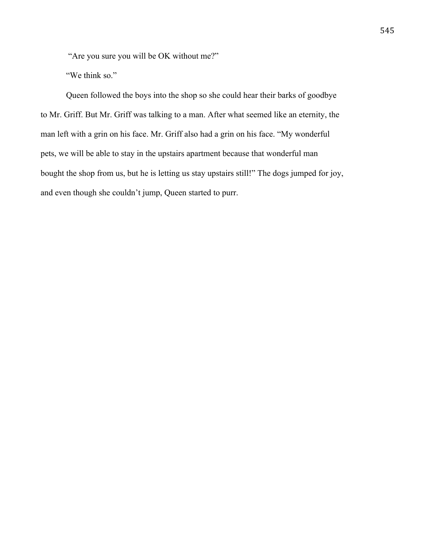"Are you sure you will be OK without me?"

"We think so."

Queen followed the boys into the shop so she could hear their barks of goodbye to Mr. Griff. But Mr. Griff was talking to a man. After what seemed like an eternity, the man left with a grin on his face. Mr. Griff also had a grin on his face. "My wonderful pets, we will be able to stay in the upstairs apartment because that wonderful man bought the shop from us, but he is letting us stay upstairs still!" The dogs jumped for joy, and even though she couldn't jump, Queen started to purr.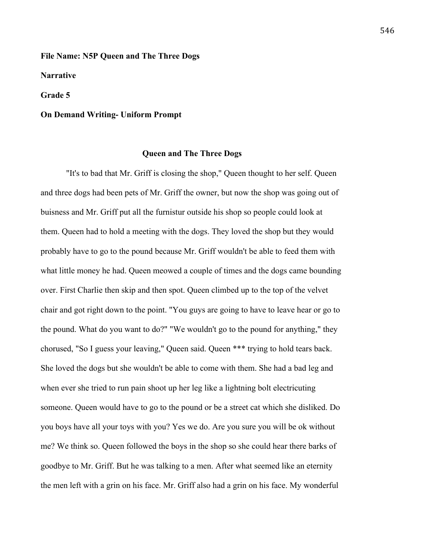#### **File Name: N5P Queen and The Three Dogs**

**Narrative**

**Grade 5**

#### **On Demand Writing- Uniform Prompt**

#### **Queen and The Three Dogs**

"It's to bad that Mr. Griff is closing the shop," Queen thought to her self. Queen and three dogs had been pets of Mr. Griff the owner, but now the shop was going out of buisness and Mr. Griff put all the furnistur outside his shop so people could look at them. Queen had to hold a meeting with the dogs. They loved the shop but they would probably have to go to the pound because Mr. Griff wouldn't be able to feed them with what little money he had. Queen meowed a couple of times and the dogs came bounding over. First Charlie then skip and then spot. Queen climbed up to the top of the velvet chair and got right down to the point. "You guys are going to have to leave hear or go to the pound. What do you want to do?" "We wouldn't go to the pound for anything," they chorused, "So I guess your leaving," Queen said. Queen \*\*\* trying to hold tears back. She loved the dogs but she wouldn't be able to come with them. She had a bad leg and when ever she tried to run pain shoot up her leg like a lightning bolt electricuting someone. Queen would have to go to the pound or be a street cat which she disliked. Do you boys have all your toys with you? Yes we do. Are you sure you will be ok without me? We think so. Queen followed the boys in the shop so she could hear there barks of goodbye to Mr. Griff. But he was talking to a men. After what seemed like an eternity the men left with a grin on his face. Mr. Griff also had a grin on his face. My wonderful